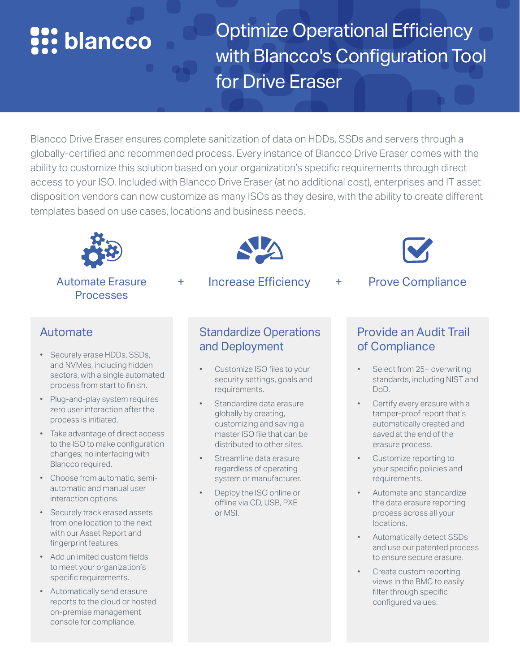# **See blancco**

Optimize Operational Efficiency with Blancco's Configuration Tool for Drive Eraser

Blancco Drive Eraser ensures complete sanitization of data on HDDs, SSDs and servers through a globally-certified and recommended process. Every instance of Blancco Drive Eraser comes with the ability to customize this solution based on your organization's specific requirements through direct access to your ISO. Included with Blancco Drive Eraser (at no additional cost), enterprises and IT asset disposition vendors can now customize as many ISOs as they desire, with the ability to create different templates based on use cases, locations and business needs.



#### Automate Erasure Processes



+ Increase Efficiency + Prove Compliance



### Automate

- Securely erase HDDs, SSDs, and NVMes, including hidden sectors, with a single automated process from start to finish.
- Plug-and-play system requires zero user interaction after the process is initiated.
- Take advantage of direct access to the ISO to make configuration changes; no interfacing with Blancco required.
- Choose from automatic, semiautomatic and manual user interaction options.
- Securely track erased assets from one location to the next with our Asset Report and fingerprint features.
- Add unlimited custom fields to meet your organization's specific requirements.
- Automatically send erasure reports to the cloud or hosted on-premise management console for compliance.

## Standardize Operations and Deployment

- Customize ISO files to your security settings, goals and requirements.
- Standardize data erasure globally by creating, customizing and saving a master ISO file that can be distributed to other sites.
- Streamline data erasure regardless of operating system or manufacturer.
- Deploy the ISO online or offline via CD, USB, PXE or MSI.

# Provide an Audit Trail of Compliance

- Select from 25+ overwriting standards, including NIST and DoD.
- Certify every erasure with a tamper-proof report that's automatically created and saved at the end of the erasure process.
- Customize reporting to your specific policies and requirements.
- Automate and standardize the data erasure reporting process across all your locations.
- Automatically detect SSDs and use our patented process to ensure secure erasure.
- Create custom reporting views in the BMC to easily filter through specific configured values.